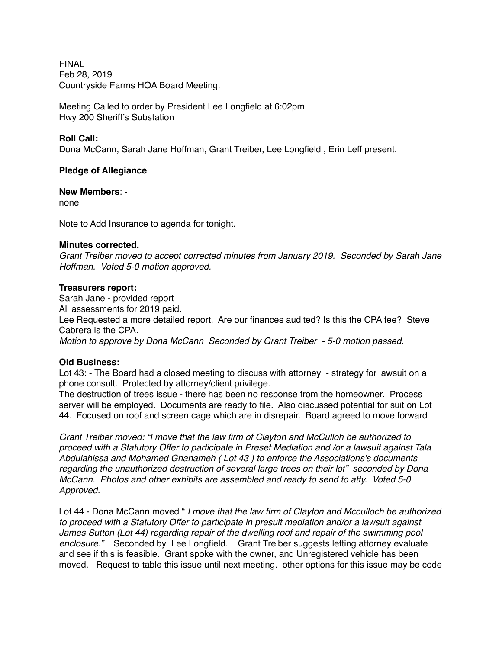**FINAL** Feb 28, 2019 Countryside Farms HOA Board Meeting.

Meeting Called to order by President Lee Longfield at 6:02pm Hwy 200 Sheriff's Substation

### **Roll Call:**

Dona McCann, Sarah Jane Hoffman, Grant Treiber, Lee Longfield , Erin Leff present.

### **Pledge of Allegiance**

**New Members**: -

none

Note to Add Insurance to agenda for tonight.

### **Minutes corrected.**

*Grant Treiber moved to accept corrected minutes from January 2019. Seconded by Sarah Jane Hoffman. Voted 5-0 motion approved.*

### **Treasurers report:**

Sarah Jane - provided report All assessments for 2019 paid. Lee Requested a more detailed report. Are our finances audited? Is this the CPA fee? Steve Cabrera is the CPA. *Motion to approve by Dona McCann Seconded by Grant Treiber - 5-0 motion passed.*

### **Old Business:**

Lot 43: - The Board had a closed meeting to discuss with attorney - strategy for lawsuit on a phone consult. Protected by attorney/client privilege.

The destruction of trees issue - there has been no response from the homeowner. Process server will be employed. Documents are ready to file. Also discussed potential for suit on Lot 44. Focused on roof and screen cage which are in disrepair. Board agreed to move forward

*Grant Treiber moved: "I move that the law firm of Clayton and McCulloh be authorized to proceed with a Statutory Offer to participate in Preset Mediation and /or a lawsuit against Tala Abdulahissa and Mohamed Ghanameh ( Lot 43 ) to enforce the Associations's documents regarding the unauthorized destruction of several large trees on their lot" seconded by Dona McCann. Photos and other exhibits are assembled and ready to send to atty. Voted 5-0 Approved.*

Lot 44 - Dona McCann moved " *I move that the law firm of Clayton and Mcculloch be authorized to proceed with a Statutory Offer to participate in presuit mediation and/or a lawsuit against James Sutton (Lot 44) regarding repair of the dwelling roof and repair of the swimming pool enclosure."* Seconded by Lee Longfield. Grant Treiber suggests letting attorney evaluate and see if this is feasible. Grant spoke with the owner, and Unregistered vehicle has been moved. Request to table this issue until next meeting. other options for this issue may be code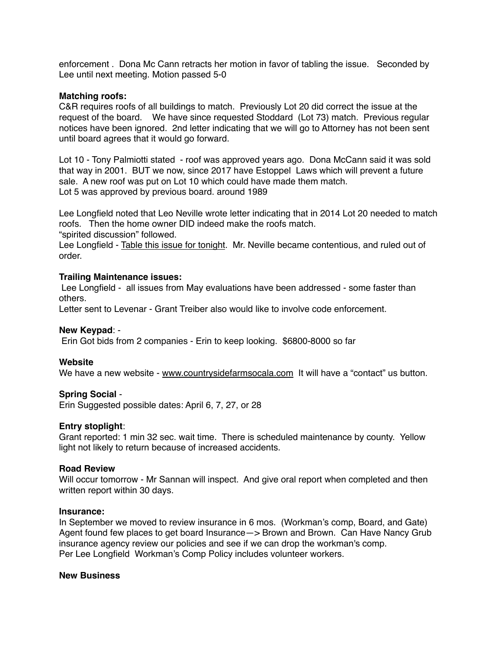enforcement . Dona Mc Cann retracts her motion in favor of tabling the issue. Seconded by Lee until next meeting. Motion passed 5-0

### **Matching roofs:**

C&R requires roofs of all buildings to match. Previously Lot 20 did correct the issue at the request of the board. We have since requested Stoddard (Lot 73) match. Previous regular notices have been ignored. 2nd letter indicating that we will go to Attorney has not been sent until board agrees that it would go forward.

Lot 10 - Tony Palmiotti stated - roof was approved years ago. Dona McCann said it was sold that way in 2001. BUT we now, since 2017 have Estoppel Laws which will prevent a future sale. A new roof was put on Lot 10 which could have made them match. Lot 5 was approved by previous board. around 1989

Lee Longfield noted that Leo Neville wrote letter indicating that in 2014 Lot 20 needed to match roofs. Then the home owner DID indeed make the roofs match.

"spirited discussion" followed.

Lee Longfield - Table this issue for tonight. Mr. Neville became contentious, and ruled out of order.

## **Trailing Maintenance issues:**

 Lee Longfield - all issues from May evaluations have been addressed - some faster than others.

Letter sent to Levenar - Grant Treiber also would like to involve code enforcement.

### **New Keypad**: -

Erin Got bids from 2 companies - Erin to keep looking. \$6800-8000 so far

### **Website**

We have a new website - [www.countrysidefarmsocala.com](http://www.countrysidefarmsocala.com) It will have a "contact" us button.

## **Spring Social** -

Erin Suggested possible dates: April 6, 7, 27, or 28

## **Entry stoplight**:

Grant reported: 1 min 32 sec. wait time. There is scheduled maintenance by county. Yellow light not likely to return because of increased accidents.

### **Road Review**

Will occur tomorrow - Mr Sannan will inspect. And give oral report when completed and then written report within 30 days.

### **Insurance:**

In September we moved to review insurance in 6 mos. (Workman's comp, Board, and Gate) Agent found few places to get board Insurance—> Brown and Brown. Can Have Nancy Grub insurance agency review our policies and see if we can drop the workman's comp. Per Lee Longfield Workman's Comp Policy includes volunteer workers.

### **New Business**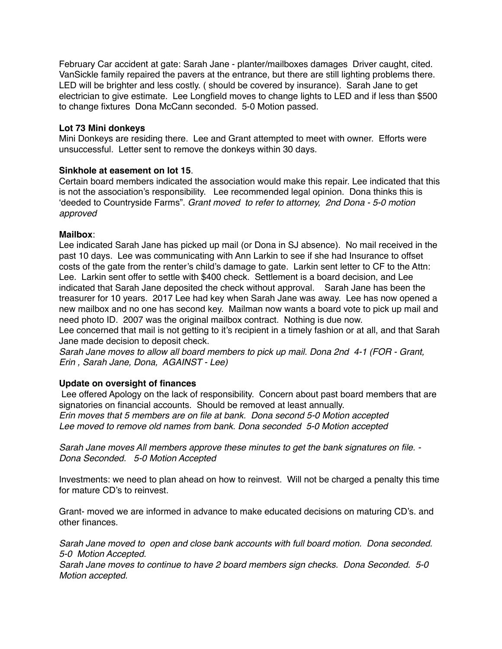February Car accident at gate: Sarah Jane - planter/mailboxes damages Driver caught, cited. VanSickle family repaired the pavers at the entrance, but there are still lighting problems there. LED will be brighter and less costly. ( should be covered by insurance). Sarah Jane to get electrician to give estimate. Lee Longfield moves to change lights to LED and if less than \$500 to change fixtures Dona McCann seconded. 5-0 Motion passed.

## **Lot 73 Mini donkeys**

Mini Donkeys are residing there. Lee and Grant attempted to meet with owner. Efforts were unsuccessful. Letter sent to remove the donkeys within 30 days.

# **Sinkhole at easement on lot 15**.

Certain board members indicated the association would make this repair. Lee indicated that this is not the association's responsibility. Lee recommended legal opinion. Dona thinks this is 'deeded to Countryside Farms". *Grant moved to refer to attorney, 2nd Dona - 5-0 motion approved*

# **Mailbox**:

Lee indicated Sarah Jane has picked up mail (or Dona in SJ absence). No mail received in the past 10 days. Lee was communicating with Ann Larkin to see if she had Insurance to offset costs of the gate from the renter's child's damage to gate. Larkin sent letter to CF to the Attn: Lee. Larkin sent offer to settle with \$400 check. Settlement is a board decision, and Lee indicated that Sarah Jane deposited the check without approval. Sarah Jane has been the treasurer for 10 years. 2017 Lee had key when Sarah Jane was away. Lee has now opened a new mailbox and no one has second key. Mailman now wants a board vote to pick up mail and need photo ID. 2007 was the original mailbox contract. Nothing is due now.

Lee concerned that mail is not getting to it's recipient in a timely fashion or at all, and that Sarah Jane made decision to deposit check.

*Sarah Jane moves to allow all board members to pick up mail. Dona 2nd 4-1 (FOR - Grant, Erin , Sarah Jane, Dona, AGAINST - Lee)*

# **Update on oversight of finances**

 Lee offered Apology on the lack of responsibility. Concern about past board members that are signatories on financial accounts. Should be removed at least annually. *Erin moves that 5 members are on file at bank. Dona second 5-0 Motion accepted Lee moved to remove old names from bank. Dona seconded 5-0 Motion accepted*

*Sarah Jane moves All members approve these minutes to get the bank signatures on file. - Dona Seconded. 5-0 Motion Accepted*

Investments: we need to plan ahead on how to reinvest. Will not be charged a penalty this time for mature CD's to reinvest.

Grant- moved we are informed in advance to make educated decisions on maturing CD's. and other finances.

*Sarah Jane moved to open and close bank accounts with full board motion. Dona seconded. 5-0 Motion Accepted.*

*Sarah Jane moves to continue to have 2 board members sign checks. Dona Seconded. 5-0 Motion accepted.*